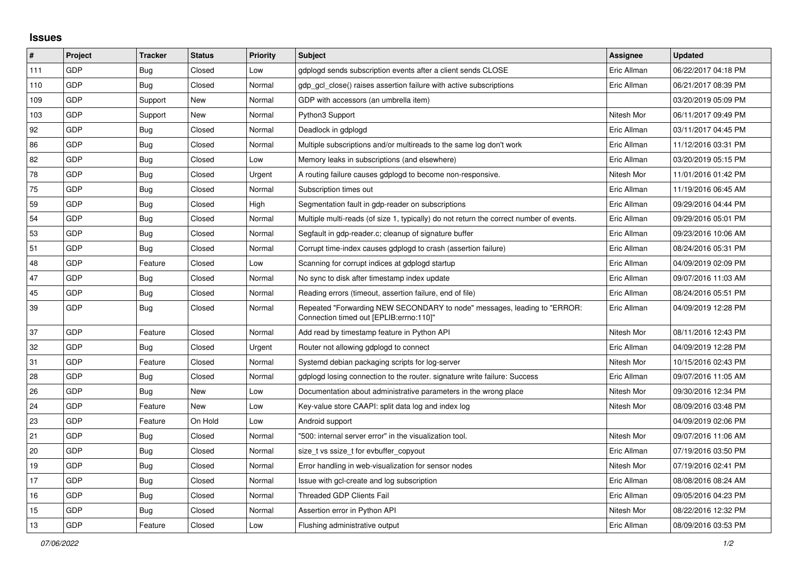## **Issues**

| #   | Project    | <b>Tracker</b> | <b>Status</b> | <b>Priority</b> | <b>Subject</b>                                                                                                      | <b>Assignee</b> | <b>Updated</b>      |
|-----|------------|----------------|---------------|-----------------|---------------------------------------------------------------------------------------------------------------------|-----------------|---------------------|
| 111 | GDP        | <b>Bug</b>     | Closed        | Low             | gdplogd sends subscription events after a client sends CLOSE                                                        | Eric Allman     | 06/22/2017 04:18 PM |
| 110 | GDP        | <b>Bug</b>     | Closed        | Normal          | gdp gcl close() raises assertion failure with active subscriptions                                                  | Eric Allman     | 06/21/2017 08:39 PM |
| 109 | GDP        | Support        | New           | Normal          | GDP with accessors (an umbrella item)                                                                               |                 | 03/20/2019 05:09 PM |
| 103 | GDP        | Support        | New           | Normal          | Python3 Support                                                                                                     | Nitesh Mor      | 06/11/2017 09:49 PM |
| 92  | GDP        | <b>Bug</b>     | Closed        | Normal          | Deadlock in gdplogd                                                                                                 | Eric Allman     | 03/11/2017 04:45 PM |
| 86  | GDP        | <b>Bug</b>     | Closed        | Normal          | Multiple subscriptions and/or multireads to the same log don't work                                                 | Eric Allman     | 11/12/2016 03:31 PM |
| 82  | <b>GDP</b> | <b>Bug</b>     | Closed        | Low             | Memory leaks in subscriptions (and elsewhere)                                                                       | Eric Allman     | 03/20/2019 05:15 PM |
| 78  | GDP        | <b>Bug</b>     | Closed        | Urgent          | A routing failure causes gdplogd to become non-responsive.                                                          | Nitesh Mor      | 11/01/2016 01:42 PM |
| 75  | GDP        | <b>Bug</b>     | Closed        | Normal          | Subscription times out                                                                                              | Eric Allman     | 11/19/2016 06:45 AM |
| 59  | GDP        | Bug            | Closed        | High            | Segmentation fault in gdp-reader on subscriptions                                                                   | Eric Allman     | 09/29/2016 04:44 PM |
| 54  | GDP        | <b>Bug</b>     | Closed        | Normal          | Multiple multi-reads (of size 1, typically) do not return the correct number of events.                             | Eric Allman     | 09/29/2016 05:01 PM |
| 53  | GDP        | <b>Bug</b>     | Closed        | Normal          | Segfault in gdp-reader.c; cleanup of signature buffer                                                               | Eric Allman     | 09/23/2016 10:06 AM |
| 51  | GDP        | <b>Bug</b>     | Closed        | Normal          | Corrupt time-index causes gdplogd to crash (assertion failure)                                                      | Eric Allman     | 08/24/2016 05:31 PM |
| 48  | GDP        | Feature        | Closed        | Low             | Scanning for corrupt indices at gdplogd startup                                                                     | Eric Allman     | 04/09/2019 02:09 PM |
| 47  | GDP        | Bug            | Closed        | Normal          | No sync to disk after timestamp index update                                                                        | Eric Allman     | 09/07/2016 11:03 AM |
| 45  | GDP        | <b>Bug</b>     | Closed        | Normal          | Reading errors (timeout, assertion failure, end of file)                                                            | Eric Allman     | 08/24/2016 05:51 PM |
| 39  | <b>GDP</b> | <b>Bug</b>     | Closed        | Normal          | Repeated "Forwarding NEW SECONDARY to node" messages, leading to "ERROR:<br>Connection timed out [EPLIB:errno:110]" | Eric Allman     | 04/09/2019 12:28 PM |
| 37  | GDP        | Feature        | Closed        | Normal          | Add read by timestamp feature in Python API                                                                         | Nitesh Mor      | 08/11/2016 12:43 PM |
| 32  | GDP        | <b>Bug</b>     | Closed        | Urgent          | Router not allowing gdplogd to connect                                                                              | Eric Allman     | 04/09/2019 12:28 PM |
| 31  | GDP        | Feature        | Closed        | Normal          | Systemd debian packaging scripts for log-server                                                                     | Nitesh Mor      | 10/15/2016 02:43 PM |
| 28  | GDP        | Bug            | Closed        | Normal          | gdplogd losing connection to the router. signature write failure: Success                                           | Eric Allman     | 09/07/2016 11:05 AM |
| 26  | <b>GDP</b> | <b>Bug</b>     | New           | Low             | Documentation about administrative parameters in the wrong place                                                    | Nitesh Mor      | 09/30/2016 12:34 PM |
| 24  | GDP        | Feature        | New           | Low             | Key-value store CAAPI: split data log and index log                                                                 | Nitesh Mor      | 08/09/2016 03:48 PM |
| 23  | GDP        | Feature        | On Hold       | Low             | Android support                                                                                                     |                 | 04/09/2019 02:06 PM |
| 21  | GDP        | Bug            | Closed        | Normal          | '500: internal server error" in the visualization tool.                                                             | Nitesh Mor      | 09/07/2016 11:06 AM |
| 20  | GDP        | Bug            | Closed        | Normal          | size t vs ssize t for evbuffer copyout                                                                              | Eric Allman     | 07/19/2016 03:50 PM |
| 19  | GDP        | <b>Bug</b>     | Closed        | Normal          | Error handling in web-visualization for sensor nodes                                                                | Nitesh Mor      | 07/19/2016 02:41 PM |
| 17  | GDP        | Bug            | Closed        | Normal          | Issue with gcl-create and log subscription                                                                          | Eric Allman     | 08/08/2016 08:24 AM |
| 16  | GDP        | <b>Bug</b>     | Closed        | Normal          | <b>Threaded GDP Clients Fail</b>                                                                                    | Eric Allman     | 09/05/2016 04:23 PM |
| 15  | GDP        | Bug            | Closed        | Normal          | Assertion error in Python API                                                                                       | Nitesh Mor      | 08/22/2016 12:32 PM |
| 13  | GDP        | Feature        | Closed        | Low             | Flushing administrative output                                                                                      | Eric Allman     | 08/09/2016 03:53 PM |